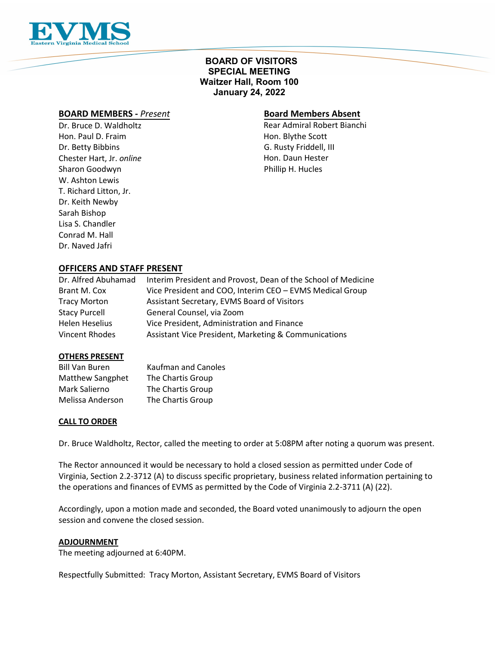

# **BOARD OF VISITORS SPECIAL MEETING Waitzer Hall, Room 100 January 24, 2022**

# **BOARD MEMBERS -** *Present*

Dr. Bruce D. Waldholtz Hon. Paul D. Fraim Dr. Betty Bibbins Chester Hart, Jr. *online* Sharon Goodwyn W. Ashton Lewis T. Richard Litton, Jr. Dr. Keith Newby Sarah Bishop Lisa S. Chandler Conrad M. Hall Dr. Naved Jafri

# **Board Members Absent**

Rear Admiral Robert Bianchi Hon. Blythe Scott G. Rusty Friddell, III Hon. Daun Hester Phillip H. Hucles

# **OFFICERS AND STAFF PRESENT**

| Dr. Alfred Abuhamad   | Interim President and Provost, Dean of the School of Medicine |
|-----------------------|---------------------------------------------------------------|
| Brant M. Cox          | Vice President and COO, Interim CEO - EVMS Medical Group      |
| <b>Tracy Morton</b>   | Assistant Secretary, EVMS Board of Visitors                   |
| <b>Stacy Purcell</b>  | General Counsel, via Zoom                                     |
| <b>Helen Heselius</b> | Vice President, Administration and Finance                    |
| Vincent Rhodes        | Assistant Vice President, Marketing & Communications          |

#### **OTHERS PRESENT**

| <b>Bill Van Buren</b> | <b>Kaufman and Canoles</b> |  |
|-----------------------|----------------------------|--|
| Matthew Sangphet      | The Chartis Group          |  |
| Mark Salierno         | The Chartis Group          |  |
| Melissa Anderson      | The Chartis Group          |  |

## **CALL TO ORDER**

Dr. Bruce Waldholtz, Rector, called the meeting to order at 5:08PM after noting a quorum was present.

The Rector announced it would be necessary to hold a closed session as permitted under Code of Virginia, Section 2.2-3712 (A) to discuss specific proprietary, business related information pertaining to the operations and finances of EVMS as permitted by the Code of Virginia 2.2-3711 (A) (22).

Accordingly, upon a motion made and seconded, the Board voted unanimously to adjourn the open session and convene the closed session.

## **ADJOURNMENT**

The meeting adjourned at 6:40PM.

Respectfully Submitted: Tracy Morton, Assistant Secretary, EVMS Board of Visitors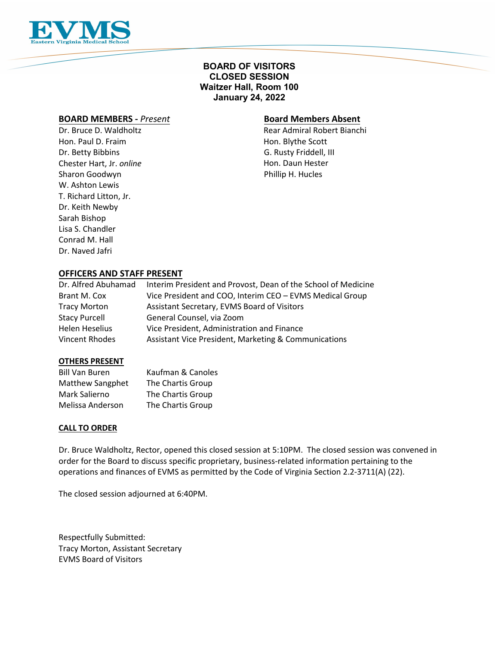

# **BOARD OF VISITORS CLOSED SESSION Waitzer Hall, Room 100 January 24, 2022**

## **BOARD MEMBERS -** *Present*

Dr. Bruce D. Waldholtz Hon. Paul D. Fraim Dr. Betty Bibbins Chester Hart, Jr. *online* Sharon Goodwyn W. Ashton Lewis T. Richard Litton, Jr. Dr. Keith Newby Sarah Bishop Lisa S. Chandler Conrad M. Hall Dr. Naved Jafri

## **Board Members Absent**

Rear Admiral Robert Bianchi Hon. Blythe Scott G. Rusty Friddell, III Hon. Daun Hester Phillip H. Hucles

# **OFFICERS AND STAFF PRESENT**

| Dr. Alfred Abuhamad   | Interim President and Provost, Dean of the School of Medicine |
|-----------------------|---------------------------------------------------------------|
| Brant M. Cox          | Vice President and COO, Interim CEO - EVMS Medical Group      |
| <b>Tracy Morton</b>   | Assistant Secretary, EVMS Board of Visitors                   |
| <b>Stacy Purcell</b>  | General Counsel, via Zoom                                     |
| <b>Helen Heselius</b> | Vice President, Administration and Finance                    |
| Vincent Rhodes        | Assistant Vice President, Marketing & Communications          |

#### **OTHERS PRESENT**

| <b>Bill Van Buren</b>   | Kaufman & Canoles |
|-------------------------|-------------------|
| <b>Matthew Sangphet</b> | The Chartis Group |
| Mark Salierno           | The Chartis Group |
| Melissa Anderson        | The Chartis Group |

## **CALL TO ORDER**

Dr. Bruce Waldholtz, Rector, opened this closed session at 5:10PM. The closed session was convened in order for the Board to discuss specific proprietary, business-related information pertaining to the operations and finances of EVMS as permitted by the Code of Virginia Section 2.2-3711(A) (22).

The closed session adjourned at 6:40PM.

Respectfully Submitted: Tracy Morton, Assistant Secretary EVMS Board of Visitors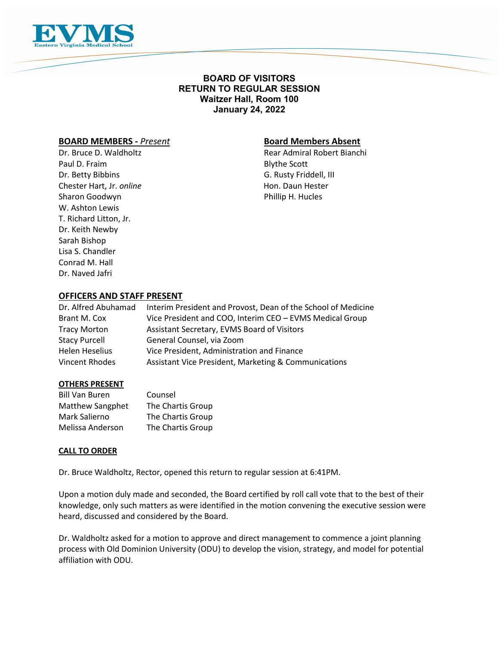

# **BOARD OF VISITORS RETURN TO REGULAR SESSION Waitzer Hall, Room 100 January 24, 2022**

# **BOARD MEMBERS -** *Present* **Board Members Absent**

Paul D. Fraim Blythe Scott Dr. Betty Bibbins G. Rusty Friddell, III Chester Hart, Jr. *online* **Hon. Daun Hester** Hon. Daun Hester Sharon Goodwyn **Phillip H. Hucles** W. Ashton Lewis T. Richard Litton, Jr. Dr. Keith Newby Sarah Bishop Lisa S. Chandler Conrad M. Hall Dr. Naved Jafri

Dr. Bruce D. Waldholtz **Rear Admiral Robert Bianchi** 

## **OFFICERS AND STAFF PRESENT**

| Dr. Alfred Abuhamad   | Interim President and Provost, Dean of the School of Medicine |
|-----------------------|---------------------------------------------------------------|
| Brant M. Cox          | Vice President and COO, Interim CEO - EVMS Medical Group      |
| <b>Tracy Morton</b>   | Assistant Secretary, EVMS Board of Visitors                   |
| <b>Stacy Purcell</b>  | General Counsel, via Zoom                                     |
| <b>Helen Heselius</b> | Vice President, Administration and Finance                    |
| Vincent Rhodes        | Assistant Vice President, Marketing & Communications          |

#### **OTHERS PRESENT**

| <b>Bill Van Buren</b> | Counsel           |
|-----------------------|-------------------|
| Matthew Sangphet      | The Chartis Group |
| Mark Salierno         | The Chartis Group |
| Melissa Anderson      | The Chartis Group |

#### **CALL TO ORDER**

Dr. Bruce Waldholtz, Rector, opened this return to regular session at 6:41PM.

Upon a motion duly made and seconded, the Board certified by roll call vote that to the best of their knowledge, only such matters as were identified in the motion convening the executive session were heard, discussed and considered by the Board.

Dr. Waldholtz asked for a motion to approve and direct management to commence a joint planning process with Old Dominion University (ODU) to develop the vision, strategy, and model for potential affiliation with ODU.